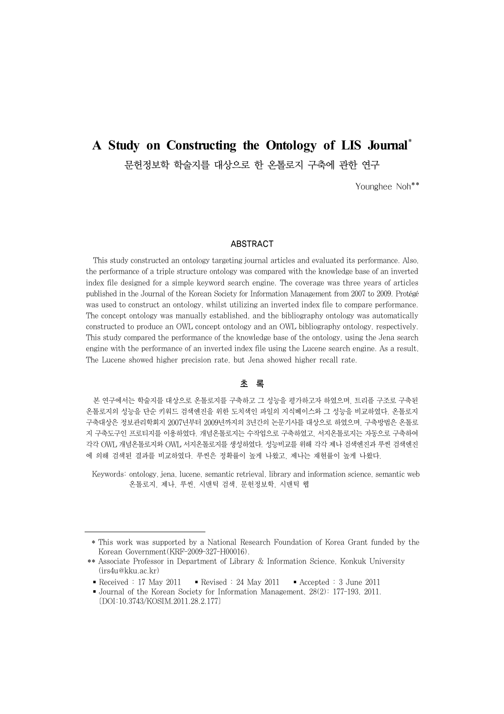# **A Study on Constructing the Ontology of LIS Journal**\*

문헌정보학 학술지를 대상으로 한 온톨로지 구축에 관한 연구

Younghee Noh\*\*

#### ABSTRACT

This study constructed an ontology targeting journal articles and evaluated its performance. Also, the performance of a triple structure ontology was compared with the knowledge base of an inverted index file designed for a simple keyword search engine. The coverage was three years of articles published in the Journal of the Korean Society for Information Management from 2007 to 2009. Protégé was used to construct an ontology, whilst utilizing an inverted index file to compare performance. The concept ontology was manually established, and the bibliography ontology was automatically constructed to produce an OWL concept ontology and an OWL bibliography ontology, respectively. This study compared the performance of the knowledge base of the ontology, using the Jena search engine with the performance of an inverted index file using the Lucene search engine. As a result, The Lucene showed higher precision rate, but Jena showed higher recall rate.

## 초 록

본 연구에서는 학술지를 대상으로 온톨로지를 구축하고 그 성능을 평가하고자 하였으며, 트리플 구조로 구축된 온톨로지의 성능을 단순 키워드 검색엔진을 위한 도치색인 파일의 지식베이스와 그 성능을 비교하였다. 온톨로지 구축대상은 정보관리학회지 2007년부터 2009년까지의 3년간의 논문기사를 대상으로 하였으며, 구축방법은 온톨로 지 구축도구인 프로티지를 이용하였다. 개념온톨로지는 수작업으로 구축하였고, 서지온톨로지는 자동으로 구축하여 각각 OWL 개념온톨로지와 OWL 서지온톨로지를 생성하였다. 성능비교를 위해 각각 제나 검색엔진과 루씬 검색엔진 에 의해 검색된 결과를 비교하였다. 루씬은 정확률이 높게 나왔고, 제나는 재현률이 높게 나왔다.

Keywords: ontology, jena, lucene, semantic retrieval, library and information science, semantic web 온톨로지, 제나, 루씬, 시맨틱 검색, 문헌정보학, 시맨틱 웹

 <sup>\*</sup> This work was supported by a National Research Foundation of Korea Grant funded by the Korean Government(KRF-2009-327-H00016).

<sup>\*\*</sup> Associate Professor in Department of Library & Information Science, Konkuk University (irs4u@kku.ac.kr)

<sup>■</sup> Received : 17 May 2011 ■ Revised : 24 May 2011 ■ Accepted : 3 June 2011

<sup>■</sup> Journal of the Korean Society for Information Management, 28(2): 177-193, 2011. [DOI:10.3743/KOSIM.2011.28.2.177]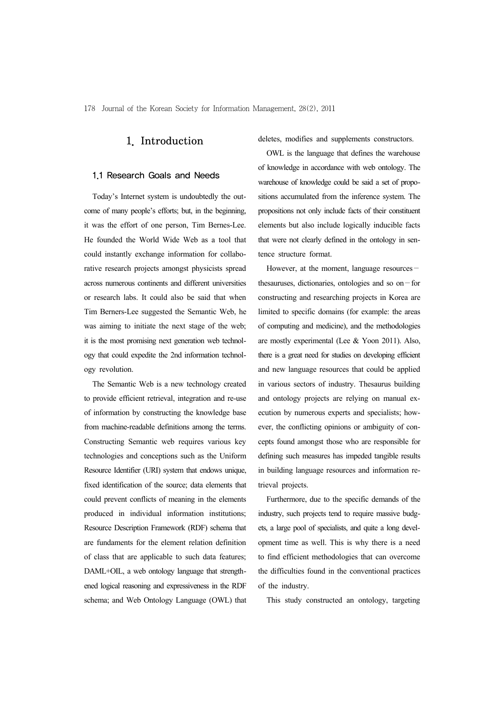## 1. Introduction

#### 1.1 Research Goals and Needs

Today's Internet system is undoubtedly the outcome of many people's efforts; but, in the beginning, it was the effort of one person, Tim Bernes-Lee. He founded the World Wide Web as a tool that could instantly exchange information for collaborative research projects amongst physicists spread across numerous continents and different universities or research labs. It could also be said that when Tim Berners-Lee suggested the Semantic Web, he was aiming to initiate the next stage of the web; it is the most promising next generation web technology that could expedite the 2nd information technology revolution.

The Semantic Web is a new technology created to provide efficient retrieval, integration and re-use of information by constructing the knowledge base from machine-readable definitions among the terms. Constructing Semantic web requires various key technologies and conceptions such as the Uniform Resource Identifier (URI) system that endows unique, fixed identification of the source; data elements that could prevent conflicts of meaning in the elements produced in individual information institutions; Resource Description Framework (RDF) schema that are fundaments for the element relation definition of class that are applicable to such data features; DAML+OIL, a web ontology language that strengthened logical reasoning and expressiveness in the RDF schema; and Web Ontology Language (OWL) that deletes, modifies and supplements constructors.

OWL is the language that defines the warehouse of knowledge in accordance with web ontology. The warehouse of knowledge could be said a set of propositions accumulated from the inference system. The propositions not only include facts of their constituent elements but also include logically inducible facts that were not clearly defined in the ontology in sentence structure format.

However, at the moment, language resources thesauruses, dictionaries, ontologies and so on—for constructing and researching projects in Korea are limited to specific domains (for example: the areas of computing and medicine), and the methodologies are mostly experimental (Lee & Yoon 2011). Also, there is a great need for studies on developing efficient and new language resources that could be applied in various sectors of industry. Thesaurus building and ontology projects are relying on manual execution by numerous experts and specialists; however, the conflicting opinions or ambiguity of concepts found amongst those who are responsible for defining such measures has impeded tangible results in building language resources and information retrieval projects.

Furthermore, due to the specific demands of the industry, such projects tend to require massive budgets, a large pool of specialists, and quite a long development time as well. This is why there is a need to find efficient methodologies that can overcome the difficulties found in the conventional practices of the industry.

This study constructed an ontology, targeting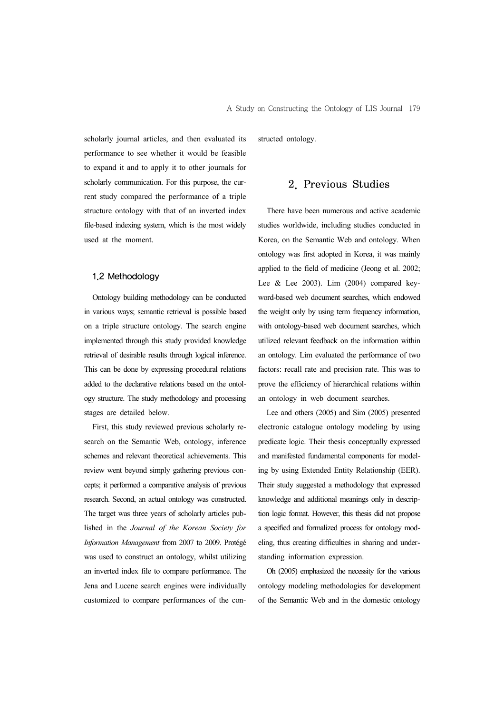scholarly journal articles, and then evaluated its performance to see whether it would be feasible to expand it and to apply it to other journals for scholarly communication. For this purpose, the current study compared the performance of a triple structure ontology with that of an inverted index file-based indexing system, which is the most widely used at the moment.

#### 1.2 Methodology

Ontology building methodology can be conducted in various ways; semantic retrieval is possible based on a triple structure ontology. The search engine implemented through this study provided knowledge retrieval of desirable results through logical inference. This can be done by expressing procedural relations added to the declarative relations based on the ontology structure. The study methodology and processing stages are detailed below.

First, this study reviewed previous scholarly research on the Semantic Web, ontology, inference schemes and relevant theoretical achievements. This review went beyond simply gathering previous concepts; it performed a comparative analysis of previous research. Second, an actual ontology was constructed. The target was three years of scholarly articles published in the *Journal of the Korean Society for Information Management* from 2007 to 2009. Protégé was used to construct an ontology, whilst utilizing an inverted index file to compare performance. The Jena and Lucene search engines were individually customized to compare performances of the constructed ontology.

## 2. Previous Studies

There have been numerous and active academic studies worldwide, including studies conducted in Korea, on the Semantic Web and ontology. When ontology was first adopted in Korea, it was mainly applied to the field of medicine (Jeong et al. 2002; Lee  $&$  Lee 2003). Lim (2004) compared keyword-based web document searches, which endowed the weight only by using term frequency information, with ontology-based web document searches, which utilized relevant feedback on the information within an ontology. Lim evaluated the performance of two factors: recall rate and precision rate. This was to prove the efficiency of hierarchical relations within an ontology in web document searches.

Lee and others (2005) and Sim (2005) presented electronic catalogue ontology modeling by using predicate logic. Their thesis conceptually expressed and manifested fundamental components for modeling by using Extended Entity Relationship (EER). Their study suggested a methodology that expressed knowledge and additional meanings only in description logic format. However, this thesis did not propose a specified and formalized process for ontology modeling, thus creating difficulties in sharing and understanding information expression.

Oh (2005) emphasized the necessity for the various ontology modeling methodologies for development of the Semantic Web and in the domestic ontology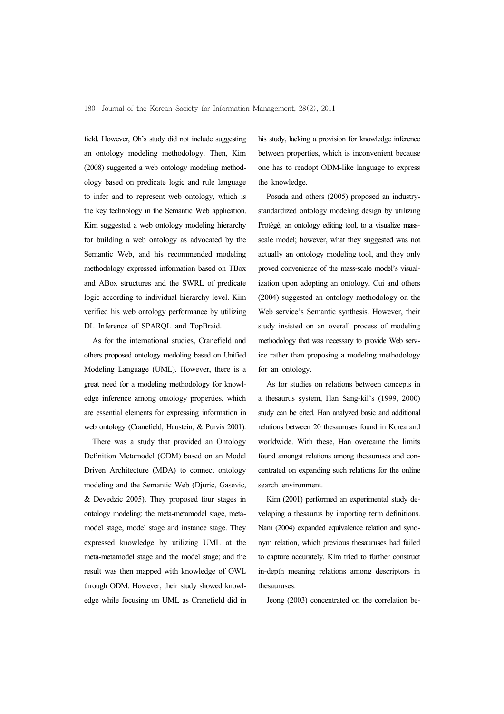field. However, Oh's study did not include suggesting an ontology modeling methodology. Then, Kim (2008) suggested a web ontology modeling methodology based on predicate logic and rule language to infer and to represent web ontology, which is the key technology in the Semantic Web application. Kim suggested a web ontology modeling hierarchy for building a web ontology as advocated by the Semantic Web, and his recommended modeling methodology expressed information based on TBox and ABox structures and the SWRL of predicate logic according to individual hierarchy level. Kim verified his web ontology performance by utilizing DL Inference of SPARQL and TopBraid.

As for the international studies, Cranefield and others proposed ontology medoling based on Unified Modeling Language (UML). However, there is a great need for a modeling methodology for knowledge inference among ontology properties, which are essential elements for expressing information in web ontology (Cranefield, Haustein, & Purvis 2001).

There was a study that provided an Ontology Definition Metamodel (ODM) based on an Model Driven Architecture (MDA) to connect ontology modeling and the Semantic Web (Djuric, Gasevic, & Devedzic 2005). They proposed four stages in ontology modeling: the meta-metamodel stage, metamodel stage, model stage and instance stage. They expressed knowledge by utilizing UML at the meta-metamodel stage and the model stage; and the result was then mapped with knowledge of OWL through ODM. However, their study showed knowledge while focusing on UML as Cranefield did in his study, lacking a provision for knowledge inference between properties, which is inconvenient because one has to readopt ODM-like language to express the knowledge.

Posada and others (2005) proposed an industrystandardized ontology modeling design by utilizing Protégé, an ontology editing tool, to a visualize massscale model; however, what they suggested was not actually an ontology modeling tool, and they only proved convenience of the mass-scale model's visualization upon adopting an ontology. Cui and others (2004) suggested an ontology methodology on the Web service's Semantic synthesis. However, their study insisted on an overall process of modeling methodology that was necessary to provide Web service rather than proposing a modeling methodology for an ontology.

As for studies on relations between concepts in a thesaurus system, Han Sang-kil's (1999, 2000) study can be cited. Han analyzed basic and additional relations between 20 thesauruses found in Korea and worldwide. With these, Han overcame the limits found amongst relations among thesauruses and concentrated on expanding such relations for the online search environment.

Kim (2001) performed an experimental study developing a thesaurus by importing term definitions. Nam (2004) expanded equivalence relation and synonym relation, which previous thesauruses had failed to capture accurately. Kim tried to further construct in-depth meaning relations among descriptors in thesauruses.

Jeong (2003) concentrated on the correlation be-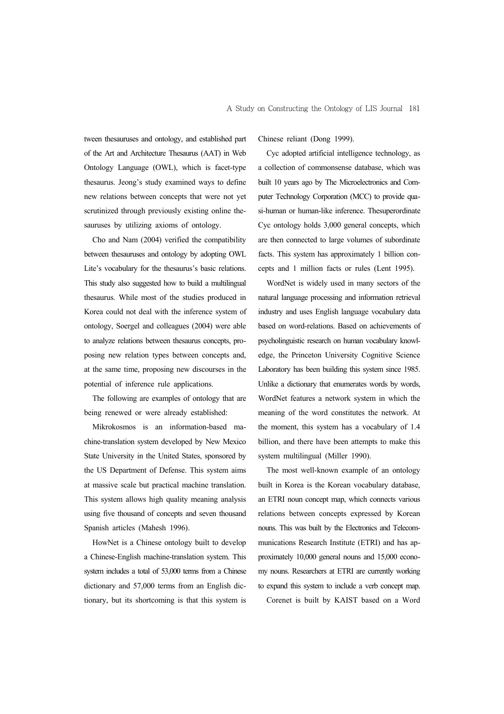tween thesauruses and ontology, and established part of the Art and Architecture Thesaurus (AAT) in Web Ontology Language (OWL), which is facet-type thesaurus. Jeong's study examined ways to define new relations between concepts that were not yet scrutinized through previously existing online thesauruses by utilizing axioms of ontology.

Cho and Nam (2004) verified the compatibility between thesauruses and ontology by adopting OWL Lite's vocabulary for the thesaurus's basic relations. This study also suggested how to build a multilingual thesaurus. While most of the studies produced in Korea could not deal with the inference system of ontology, Soergel and colleagues (2004) were able to analyze relations between thesaurus concepts, proposing new relation types between concepts and, at the same time, proposing new discourses in the potential of inference rule applications.

The following are examples of ontology that are being renewed or were already established:

Mikrokosmos is an information-based machine-translation system developed by New Mexico State University in the United States, sponsored by the US Department of Defense. This system aims at massive scale but practical machine translation. This system allows high quality meaning analysis using five thousand of concepts and seven thousand Spanish articles (Mahesh 1996).

HowNet is a Chinese ontology built to develop a Chinese-English machine-translation system. This system includes a total of 53,000 terms from a Chinese dictionary and 57,000 terms from an English dictionary, but its shortcoming is that this system is Chinese reliant (Dong 1999).

Cyc adopted artificial intelligence technology, as a collection of commonsense database, which was built 10 years ago by The Microelectronics and Computer Technology Corporation (MCC) to provide quasi-human or human-like inference. Thesuperordinate Cyc ontology holds 3,000 general concepts, which are then connected to large volumes of subordinate facts. This system has approximately 1 billion concepts and 1 million facts or rules (Lent 1995).

WordNet is widely used in many sectors of the natural language processing and information retrieval industry and uses English language vocabulary data based on word-relations. Based on achievements of psycholinguistic research on human vocabulary knowledge, the Princeton University Cognitive Science Laboratory has been building this system since 1985. Unlike a dictionary that enumerates words by words, WordNet features a network system in which the meaning of the word constitutes the network. At the moment, this system has a vocabulary of 1.4 billion, and there have been attempts to make this system multilingual (Miller 1990).

The most well-known example of an ontology built in Korea is the Korean vocabulary database, an ETRI noun concept map, which connects various relations between concepts expressed by Korean nouns. This was built by the Electronics and Telecommunications Research Institute (ETRI) and has approximately 10,000 general nouns and 15,000 economy nouns. Researchers at ETRI are currently working to expand this system to include a verb concept map.

Corenet is built by KAIST based on a Word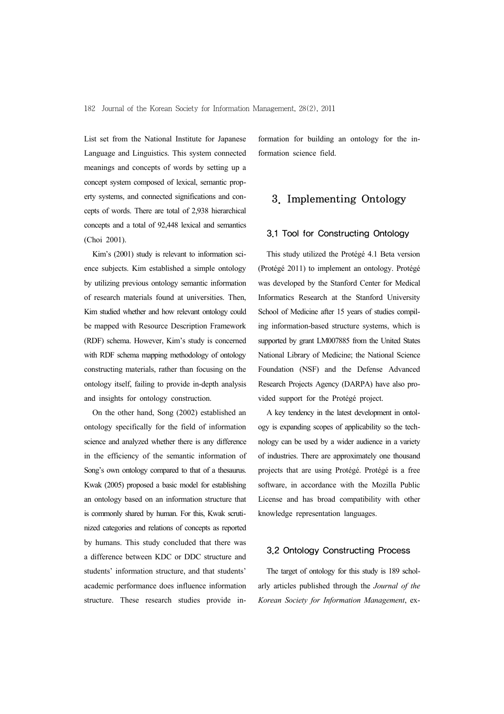List set from the National Institute for Japanese Language and Linguistics. This system connected meanings and concepts of words by setting up a concept system composed of lexical, semantic property systems, and connected significations and concepts of words. There are total of 2,938 hierarchical concepts and a total of 92,448 lexical and semantics (Choi 2001).

Kim's (2001) study is relevant to information science subjects. Kim established a simple ontology by utilizing previous ontology semantic information of research materials found at universities. Then, Kim studied whether and how relevant ontology could be mapped with Resource Description Framework (RDF) schema. However, Kim's study is concerned with RDF schema mapping methodology of ontology constructing materials, rather than focusing on the ontology itself, failing to provide in-depth analysis and insights for ontology construction.

On the other hand, Song (2002) established an ontology specifically for the field of information science and analyzed whether there is any difference in the efficiency of the semantic information of Song's own ontology compared to that of a thesaurus. Kwak (2005) proposed a basic model for establishing an ontology based on an information structure that is commonly shared by human. For this, Kwak scrutinized categories and relations of concepts as reported by humans. This study concluded that there was a difference between KDC or DDC structure and students' information structure, and that students' academic performance does influence information structure. These research studies provide information for building an ontology for the information science field.

## 3. Implementing Ontology

#### 3.1 Tool for Constructing Ontology

This study utilized the Protégé 4.1 Beta version (Protégé 2011) to implement an ontology. Protégé was developed by the Stanford Center for Medical Informatics Research at the Stanford University School of Medicine after 15 years of studies compiling information-based structure systems, which is supported by grant LM007885 from the United States National Library of Medicine; the National Science Foundation (NSF) and the Defense Advanced Research Projects Agency (DARPA) have also provided support for the Protégé project.

A key tendency in the latest development in ontology is expanding scopes of applicability so the technology can be used by a wider audience in a variety of industries. There are approximately one thousand projects that are using Protégé. Protégé is a free software, in accordance with the Mozilla Public License and has broad compatibility with other knowledge representation languages.

#### 3.2 Ontology Constructing Process

The target of ontology for this study is 189 scholarly articles published through the *Journal of the Korean Society for Information Management*, ex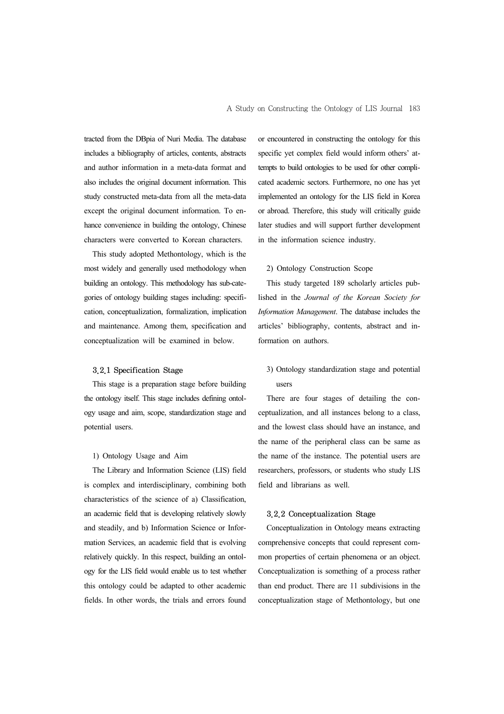tracted from the DBpia of Nuri Media. The database includes a bibliography of articles, contents, abstracts and author information in a meta-data format and also includes the original document information. This study constructed meta-data from all the meta-data except the original document information. To enhance convenience in building the ontology, Chinese characters were converted to Korean characters.

This study adopted Methontology, which is the most widely and generally used methodology when building an ontology. This methodology has sub-categories of ontology building stages including: specification, conceptualization, formalization, implication and maintenance. Among them, specification and conceptualization will be examined in below.

#### 3.2.1 Specification Stage

This stage is a preparation stage before building the ontology itself. This stage includes defining ontology usage and aim, scope, standardization stage and potential users.

#### 1) Ontology Usage and Aim

The Library and Information Science (LIS) field is complex and interdisciplinary, combining both characteristics of the science of a) Classification, an academic field that is developing relatively slowly and steadily, and b) Information Science or Information Services, an academic field that is evolving relatively quickly. In this respect, building an ontology for the LIS field would enable us to test whether this ontology could be adapted to other academic fields. In other words, the trials and errors found

or encountered in constructing the ontology for this specific yet complex field would inform others' attempts to build ontologies to be used for other complicated academic sectors. Furthermore, no one has yet implemented an ontology for the LIS field in Korea or abroad. Therefore, this study will critically guide later studies and will support further development in the information science industry.

#### 2) Ontology Construction Scope

This study targeted 189 scholarly articles published in the *Journal of the Korean Society for Information Management*. The database includes the articles' bibliography, contents, abstract and information on authors.

## 3) Ontology standardization stage and potential users

There are four stages of detailing the conceptualization, and all instances belong to a class, and the lowest class should have an instance, and the name of the peripheral class can be same as the name of the instance. The potential users are researchers, professors, or students who study LIS field and librarians as well.

#### 3.2.2 Conceptualization Stage

Conceptualization in Ontology means extracting comprehensive concepts that could represent common properties of certain phenomena or an object. Conceptualization is something of a process rather than end product. There are 11 subdivisions in the conceptualization stage of Methontology, but one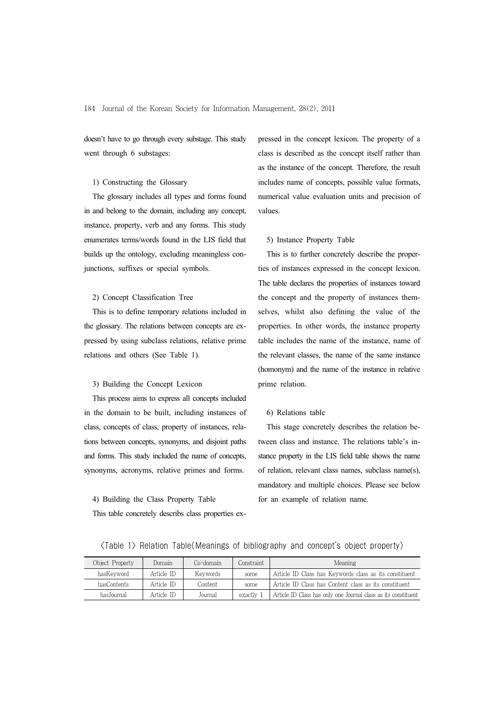doesn't have to go through every substage. This study went through 6 substages:

#### 1) Constructing the Glossary

The glossary includes all types and forms found in and belong to the domain, including any concept, instance, property, verb and any forms. This study enumerates terms/words found in the LIS field that builds up the ontology, excluding meaningless conjunctions, suffixes or special symbols.

#### 2) Concept Classification Tree

This is to define temporary relations included in the glossary. The relations between concepts are expressed by using subclass relations, relative prime relations and others (See Table 1).

#### 3) Building the Concept Lexicon

This process aims to express all concepts included in the domain to be built, including instances of class, concepts of class, property of instances, relations between concepts, synonyms, and disjoint paths and forms. This study included the name of concepts, synonyms, acronyms, relative primes and forms.

## 4) Building the Class Property Table This table concretely describs class properties ex-

pressed in the concept lexicon. The property of a class is described as the concept itself rather than as the instance of the concept. Therefore, the result includes name of concepts, possible value formats, numerical value evaluation units and precision of values.

#### 5) Instance Property Table

This is to further concretely describe the properties of instances expressed in the concept lexicon. The table declares the properties of instances toward the concept and the property of instances themselves, whilst also defining the value of the properties. In other words, the instance property table includes the name of the instance, name of the relevant classes, the name of the same instance (homonym) and the name of the instance in relative prime relation.

#### 6) Relations table

This stage concretely describes the relation between class and instance. The relations table's instance property in the LIS field table shows the name of relation, relevant class names, subclass name(s), mandatory and multiple choices. Please see below for an example of relation name.

#### <Table 1> Relation Table(Meanings of bibliography and concept's object property)

| Object Property | Domain     | Co-domain | Constraint | Meaning                                                        |
|-----------------|------------|-----------|------------|----------------------------------------------------------------|
| hasKevword      | Article ID | Keywords  | some       | Article ID Class has Keywords class as its constituent         |
| hasContents     | Article ID | Content   | some       | Article ID Class has Content class as its constituent          |
| hasJournal      | Article ID | Journal   | exactly 1  | Article ID Class has only one Journal class as its constituent |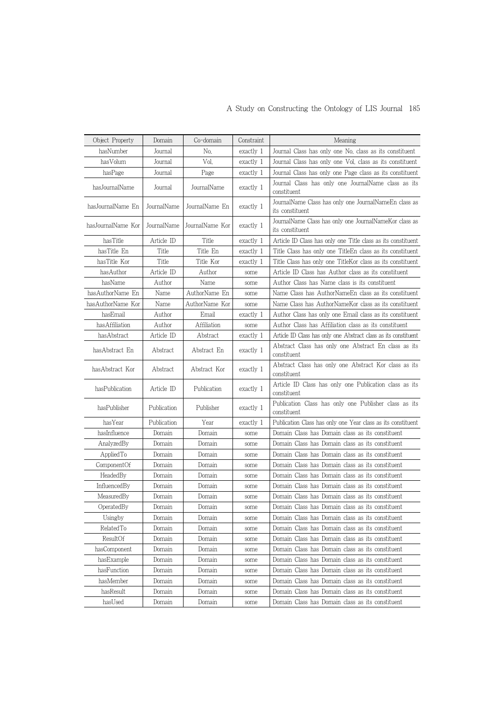## A Study on Constructing the Ontology of LIS Journal 185

| Object Property    | Domain      | Co-domain       | Constraint | Meaning                                                                   |  |
|--------------------|-------------|-----------------|------------|---------------------------------------------------------------------------|--|
| hasNumber          | Journal     | No.             | exactly 1  | Journal Class has only one No. class as its constituent                   |  |
| hasVolum           | Journal     | Vol.            | exactly 1  | Journal Class has only one Vol, class as its constituent                  |  |
| hasPage            | Journal     | Page            | exactly 1  | Journal Class has only one Page class as its constituent                  |  |
| hasJournalName     | Journal     | JournalName     | exactly 1  | Journal Class has only one JournalName class as its<br>constituent        |  |
| hasJournalName En  | JournalName | JournalName En  | exactly 1  | JournalName Class has only one JournalNameEn class as<br>its constituent  |  |
| hasJournalName Kor | JournalName | JournalName Kor | exactly 1  | JournalName Class has only one JournalNameKor class as<br>its constituent |  |
| hasTitle           | Article ID  | Title           | exactly 1  | Article ID Class has only one Title class as its constituent              |  |
| hasTitle En        | Title       | Title En        | exactly 1  | Title Class has only one TitleEn class as its constituent                 |  |
| hasTitle Kor       | Title       | Title Kor       | exactly 1  | Title Class has only one Title Kor class as its constituent               |  |
| hasAuthor          | Article ID  | Author          | some       | Article ID Class has Author class as its constituent                      |  |
| hasName            | Author      | Name            | some       | Author Class has Name class is its constituent                            |  |
| hasAuthorName En   | Name        | AuthorName En   | some       | Name Class has AuthorNameEn class as its constituent                      |  |
| hasAuthorName Kor  | Name        | AuthorName Kor  | some       | Name Class has AuthorNameKor class as its constituent                     |  |
| hasEmail           | Author      | Email           | exactly 1  | Author Class has only one Email class as its constituent                  |  |
| hasAffiliation     | Author      | Affiliation     | some       | Author Class has Affiliation class as its constituent                     |  |
| hasAbstract        | Article ID  | Abstract        | exactly 1  | Article ID Class has only one Abstract class as its constituent           |  |
| hasAbstract En     | Abstract    | Abstract En     | exactly 1  | Abstract Class has only one Abstract En class as its<br>constituent       |  |
| hasAbstract Kor    | Abstract    | Abstract Kor    | exactly 1  | Abstract Class has only one Abstract Kor class as its<br>constituent      |  |
| hasPublication     | Article ID  | Publication     | exactly 1  | Article ID Class has only one Publication class as its<br>constituent     |  |
| hasPublisher       | Publication | Publisher       | exactly 1  | Publication Class has only one Publisher class as its<br>constituent      |  |
| hasYear            | Publication | Year            | exactly 1  | Publication Class has only one Year class as its constituent              |  |
| hasInfluence       | Domain      | Domain          | some       | Domain Class has Domain class as its constituent                          |  |
| AnalyzedBy         | Domain      | Domain          | some       | Domain Class has Domain class as its constituent                          |  |
| AppliedTo          | Domain      | Domain          | some       | Domain Class has Domain class as its constituent                          |  |
| ComponentOf        | Domain      | Domain          | some       | Domain Class has Domain class as its constituent                          |  |
| HeadedBy           | Domain      | Domain          | some       | Domain Class has Domain class as its constituent                          |  |
| InfluencedBy       | Domain      | Domain          | some       | Domain Class has Domain class as its constituent                          |  |
| MeasuredBy         | Domain      | Domain          | some       | Domain Class has Domain class as its constituent                          |  |
| OperatedBy         | Domain      | Domain          | some       | Domain Class has Domain class as its constituent                          |  |
| Usingby            | Domain      | Domain          | some       | Domain Class has Domain class as its constituent                          |  |
| RelatedTo          | Domain      | Domain          | some       | Domain Class has Domain class as its constituent                          |  |
| ResultOf           | Domain      | Domain          | some       | Domain Class has Domain class as its constituent                          |  |
| hasComponent       | Domain      | Domain          | some       | Domain Class has Domain class as its constituent                          |  |
| hasExample         | Domain      | Domain          | some       | Domain Class has Domain class as its constituent                          |  |
| hasFunction        | Domain      | Domain          | some       | Domain Class has Domain class as its constituent                          |  |
| hasMember          | Domain      | Domain          | some       | Domain Class has Domain class as its constituent                          |  |
| hasResult          | Domain      | Domain          | some       | Domain Class has Domain class as its constituent                          |  |
| hasUsed            | Domain      | Domain          | some       | Domain Class has Domain class as its constituent                          |  |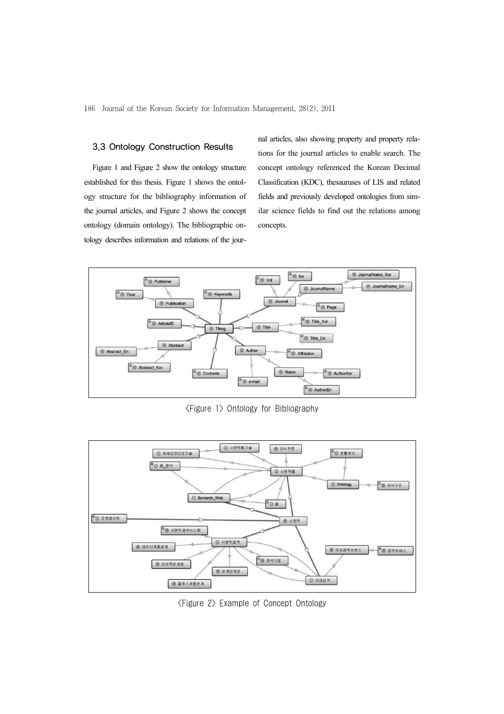#### 3.3 Ontology Construction Results

Figure 1 and Figure 2 show the ontology structure established for this thesis. Figure 1 shows the ontology structure for the bibliography information of the journal articles, and Figure 2 shows the concept ontology (domain ontology). The bibliographic ontology describes information and relations of the journal articles, also showing property and property relations for the journal articles to enable search. The concept ontology referenced the Korean Decimal Classification (KDC), thesauruses of LIS and related fields and previously developed ontologies from similar science fields to find out the relations among concepts.



<Figure 1> Ontology for Bibliography



<Figure 2> Example of Concept Ontology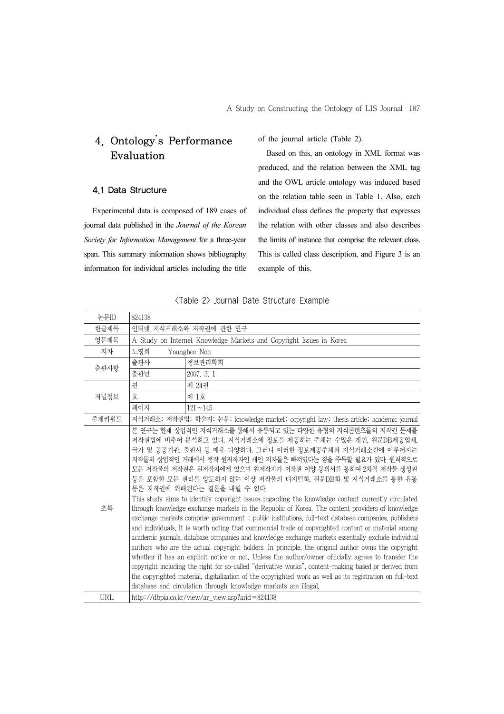# 4. Ontology's Performance Evaluation

#### 4.1 Data Structure

Experimental data is composed of 189 cases of journal data published in the *Journal of the Korean Society for Information Management* for a three-year span. This summary information shows bibliography information for individual articles including the title

of the journal article (Table 2).

Based on this, an ontology in XML format was produced, and the relation between the XML tag and the OWL article ontology was induced based on the relation table seen in Table 1. Also, each individual class defines the property that expresses the relation with other classes and also describes the limits of instance that comprise the relevant class. This is called class description, and Figure 3 is an example of this.

|  |  |  |  |  | <table 2=""> Journal Date Structure Example</table> |  |
|--|--|--|--|--|-----------------------------------------------------|--|
|--|--|--|--|--|-----------------------------------------------------|--|

| 논문ID  | 824138                                                                                                                                                                                                                                                                                                                                                                                                                                                                                                                                                                                                                                                                                                                                                                                                                                                                                                                                                                                                                                                                                                                                                                                                                                                                                                                                                                                                                                 |                                                                                         |  |  |  |
|-------|----------------------------------------------------------------------------------------------------------------------------------------------------------------------------------------------------------------------------------------------------------------------------------------------------------------------------------------------------------------------------------------------------------------------------------------------------------------------------------------------------------------------------------------------------------------------------------------------------------------------------------------------------------------------------------------------------------------------------------------------------------------------------------------------------------------------------------------------------------------------------------------------------------------------------------------------------------------------------------------------------------------------------------------------------------------------------------------------------------------------------------------------------------------------------------------------------------------------------------------------------------------------------------------------------------------------------------------------------------------------------------------------------------------------------------------|-----------------------------------------------------------------------------------------|--|--|--|
| 한글제목  | 인터넷 지식거래소와 저작권에 관한 연구                                                                                                                                                                                                                                                                                                                                                                                                                                                                                                                                                                                                                                                                                                                                                                                                                                                                                                                                                                                                                                                                                                                                                                                                                                                                                                                                                                                                                  |                                                                                         |  |  |  |
| 영문제목  |                                                                                                                                                                                                                                                                                                                                                                                                                                                                                                                                                                                                                                                                                                                                                                                                                                                                                                                                                                                                                                                                                                                                                                                                                                                                                                                                                                                                                                        |                                                                                         |  |  |  |
| 저자    | A Study on Internet Knowledge Markets and Copyright Issues in Korea                                                                                                                                                                                                                                                                                                                                                                                                                                                                                                                                                                                                                                                                                                                                                                                                                                                                                                                                                                                                                                                                                                                                                                                                                                                                                                                                                                    |                                                                                         |  |  |  |
|       | 노영희<br>Younghee Noh                                                                                                                                                                                                                                                                                                                                                                                                                                                                                                                                                                                                                                                                                                                                                                                                                                                                                                                                                                                                                                                                                                                                                                                                                                                                                                                                                                                                                    |                                                                                         |  |  |  |
| 출판사항  | 출판사                                                                                                                                                                                                                                                                                                                                                                                                                                                                                                                                                                                                                                                                                                                                                                                                                                                                                                                                                                                                                                                                                                                                                                                                                                                                                                                                                                                                                                    | 정보관리학회                                                                                  |  |  |  |
|       | 출판년                                                                                                                                                                                                                                                                                                                                                                                                                                                                                                                                                                                                                                                                                                                                                                                                                                                                                                                                                                                                                                                                                                                                                                                                                                                                                                                                                                                                                                    | 2007. 3. 1                                                                              |  |  |  |
|       | 궈                                                                                                                                                                                                                                                                                                                                                                                                                                                                                                                                                                                                                                                                                                                                                                                                                                                                                                                                                                                                                                                                                                                                                                                                                                                                                                                                                                                                                                      | 제 24권                                                                                   |  |  |  |
| 저널정보  | 호                                                                                                                                                                                                                                                                                                                                                                                                                                                                                                                                                                                                                                                                                                                                                                                                                                                                                                                                                                                                                                                                                                                                                                                                                                                                                                                                                                                                                                      | 제 1호                                                                                    |  |  |  |
|       | 페이지                                                                                                                                                                                                                                                                                                                                                                                                                                                                                                                                                                                                                                                                                                                                                                                                                                                                                                                                                                                                                                                                                                                                                                                                                                                                                                                                                                                                                                    | $121 - 145$                                                                             |  |  |  |
| 주제키워드 |                                                                                                                                                                                                                                                                                                                                                                                                                                                                                                                                                                                                                                                                                                                                                                                                                                                                                                                                                                                                                                                                                                                                                                                                                                                                                                                                                                                                                                        | 지식거래소: 저작권법: 학술지: 논문: knowledge market: copyright law: thesis article: academic journal |  |  |  |
| 초록    | 본 연구는 현재 상업적인 지식거래소를 통해서 유통되고 있는 다양한 유형의 지식콘테츠들의 저작권 무제를<br>저작권법에 비추어 분석하고 있다. 지식거래소에 정보를 제공하는 주체는 수많은 개인, 원문DB제공업체,<br>국가 및 공공기관. 출판사 등 매우 다양하다. 그러나 이러한 정보제공주체와 지식거래소간에 이루어지는<br>저작물의 상업적인 거래에서 정작 원저작자인 개인 저자들은 빠져있다는 점을 주목할 필요가 있다. 원칙적으로<br>모든 저작물의 저작권은 원저작자에게 있으며 원저작자가 저작권 이양 동의서를 통하여 2차적 저작물 생성권<br>등을 포함한 모든 권리를 양도하지 않는 이상 저작물의 디지털화. 원문DB화 및 지식거래소를 통한 유통<br>등은 저작권에 위배된다는 결론을 내릴 수 있다.<br>This study aims to identify copyright issues regarding the knowledge content currently circulated<br>through knowledge exchange markets in the Republic of Korea. The content providers of knowledge<br>exchange markets comprise government : public institutions, full-text database companies, publishers<br>and individuals. It is worth noting that commercial trade of copyrighted content or material among<br>academic journals, database companies and knowledge exchange markets essentially exclude individual<br>authors who are the actual copyright holders. In principle, the original author owns the copyright<br>whether it has an explicit notice or not. Unless the author/owner officially agrees to transfer the<br>copyright including the right for so-called "derivative works", content-making based or derived from<br>the copyrighted material, digitalization of the copyrighted work as well as its registration on full-text<br>database and circulation through knowledge markets are illegal. |                                                                                         |  |  |  |
| URL   |                                                                                                                                                                                                                                                                                                                                                                                                                                                                                                                                                                                                                                                                                                                                                                                                                                                                                                                                                                                                                                                                                                                                                                                                                                                                                                                                                                                                                                        | http://dbpia.co.kr/view/ar_view.asp?arid=824138                                         |  |  |  |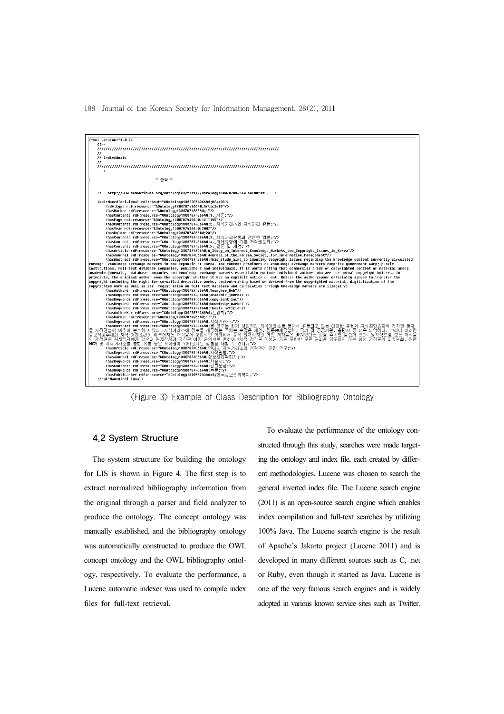

<Figure 3> Example of Class Description for Bibliography Ontology

#### 4.2 System Structure

The system structure for building the ontology for LIS is shown in Figure 4. The first step is to extract normalized bibliography information from the original through a parser and field analyzer to produce the ontology. The concept ontology was manually established, and the bibliography ontology was automatically constructed to produce the OWL concept ontology and the OWL bibliography ontology, respectively. To evaluate the performance, a Lucene automatic indexer was used to compile index files for full-text retrieval.

To evaluate the performance of the ontology constructed through this study, searches were made targeting the ontology and index file, each created by different methodologies. Lucene was chosen to search the general inverted index file. The Lucene search engine (2011) is an open-source search engine which enables index compilation and full-text searches by utilizing 100% Java. The Lucene search engine is the result of Apache's Jakarta project (Lucene 2011) and is developed in many different sources such as C, .net or Ruby, even though it started as Java. Lucene is one of the very famous search engines and is widely adopted in various known service sites such as Twitter.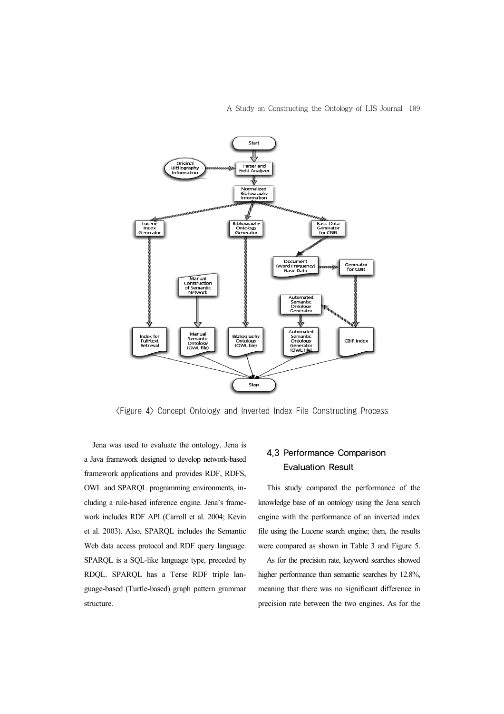A Study on Constructing the Ontology of LIS Journal 189



<Figure 4> Concept Ontology and Inverted Index File Constructing Process

Jena was used to evaluate the ontology. Jena is a Java framework designed to develop network-based framework applications and provides RDF, RDFS, OWL and SPARQL programming environments, including a rule-based inference engine. Jena's framework includes RDF API (Carroll et al. 2004; Kevin et al. 2003). Also, SPARQL includes the Semantic Web data access protocol and RDF query language. SPARQL is a SQL-like language type, preceded by RDQL. SPARQL has a Terse RDF triple language-based (Turtle-based) graph pattern grammar structure.

## 4.3 Performance Comparison Evaluation Result

This study compared the performance of the knowledge base of an ontology using the Jena search engine with the performance of an inverted index file using the Lucene search engine; then, the results were compared as shown in Table 3 and Figure 5.

As for the precision rate, keyword searches showed higher performance than semantic searches by 12.8%, meaning that there was no significant difference in precision rate between the two engines. As for the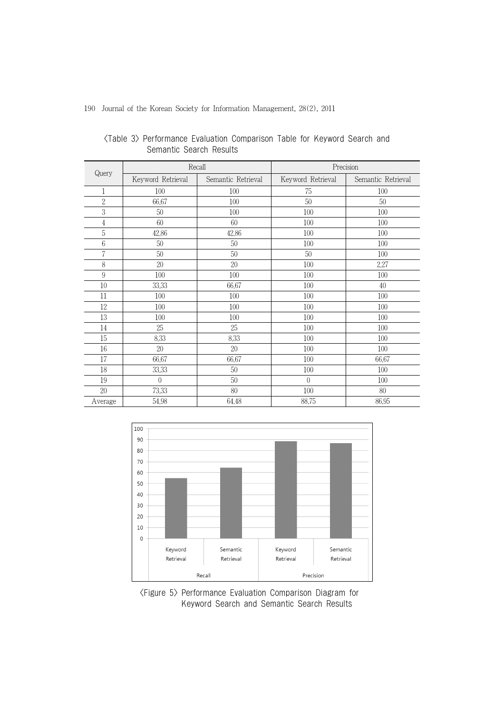| Query            |                   | Recall             | Precision         |                    |  |
|------------------|-------------------|--------------------|-------------------|--------------------|--|
|                  | Keyword Retrieval | Semantic Retrieval | Keyword Retrieval | Semantic Retrieval |  |
| 1                | 100               | 100                | 75                | 100                |  |
| $\overline{2}$   | 66.67             | 100                | 50                | 50                 |  |
| $\sqrt{3}$       | 50                | 100                | 100               | 100                |  |
| $\overline{4}$   | 60                | 60                 | 100               | 100                |  |
| 5                | 42.86             | 42,86              | 100               | 100                |  |
| $\,6\,$          | 50                | 50                 | 100               | 100                |  |
| $\overline{7}$   | 50                | 50                 | 50                | 100                |  |
| $8\,$            | $20\,$            | 20                 | 100               | 2.27               |  |
| $\boldsymbol{9}$ | 100               | 100                | 100               | 100                |  |
| $10\,$           | 33,33             | 66.67              | 100               | 40                 |  |
| 11               | 100               | 100                | 100               | 100                |  |
| 12               | 100               | 100                | 100               | 100                |  |
| 13               | 100               | 100                | 100               | 100                |  |
| 14               | 25                | 25                 | 100               | 100                |  |
| 15               | 8.33              | 8.33               | 100               | 100                |  |
| 16               | $20\,$            | 20                 | 100               | 100                |  |
| 17               | 66.67             | 66,67              | 100               | 66,67              |  |
| 18               | 33,33             | 50                 | 100               | 100                |  |
| 19               | $\left( \right)$  | 50                 | $\left( \right)$  | 100                |  |
| $20\,$           | 73,33             | 80                 | 100               | 80                 |  |
| Average          | 54.98             | 64.48              | 88.75             | 86,95              |  |

 <Table 3> Performance Evaluation Comparison Table for Keyword Search and Semantic Search Results



 <Figure 5> Performance Evaluation Comparison Diagram for Keyword Search and Semantic Search Results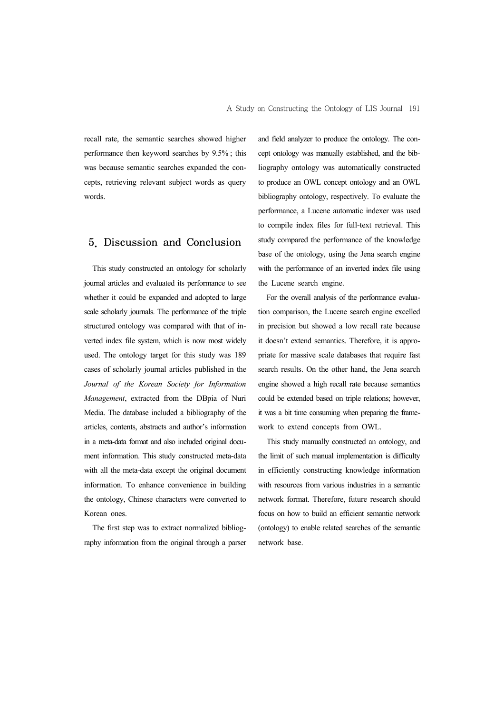recall rate, the semantic searches showed higher performance then keyword searches by 9.5% ; this was because semantic searches expanded the concepts, retrieving relevant subject words as query words.

## 5. Discussion and Conclusion

This study constructed an ontology for scholarly journal articles and evaluated its performance to see whether it could be expanded and adopted to large scale scholarly journals. The performance of the triple structured ontology was compared with that of inverted index file system, which is now most widely used. The ontology target for this study was 189 cases of scholarly journal articles published in the *Journal of the Korean Society for Information Management*, extracted from the DBpia of Nuri Media. The database included a bibliography of the articles, contents, abstracts and author's information in a meta-data format and also included original document information. This study constructed meta-data with all the meta-data except the original document information. To enhance convenience in building the ontology, Chinese characters were converted to Korean ones.

The first step was to extract normalized bibliography information from the original through a parser

and field analyzer to produce the ontology. The concept ontology was manually established, and the bibliography ontology was automatically constructed to produce an OWL concept ontology and an OWL bibliography ontology, respectively. To evaluate the performance, a Lucene automatic indexer was used to compile index files for full-text retrieval. This study compared the performance of the knowledge base of the ontology, using the Jena search engine with the performance of an inverted index file using the Lucene search engine.

For the overall analysis of the performance evaluation comparison, the Lucene search engine excelled in precision but showed a low recall rate because it doesn't extend semantics. Therefore, it is appropriate for massive scale databases that require fast search results. On the other hand, the Jena search engine showed a high recall rate because semantics could be extended based on triple relations; however, it was a bit time consuming when preparing the framework to extend concepts from OWL.

This study manually constructed an ontology, and the limit of such manual implementation is difficulty in efficiently constructing knowledge information with resources from various industries in a semantic network format. Therefore, future research should focus on how to build an efficient semantic network (ontology) to enable related searches of the semantic network base.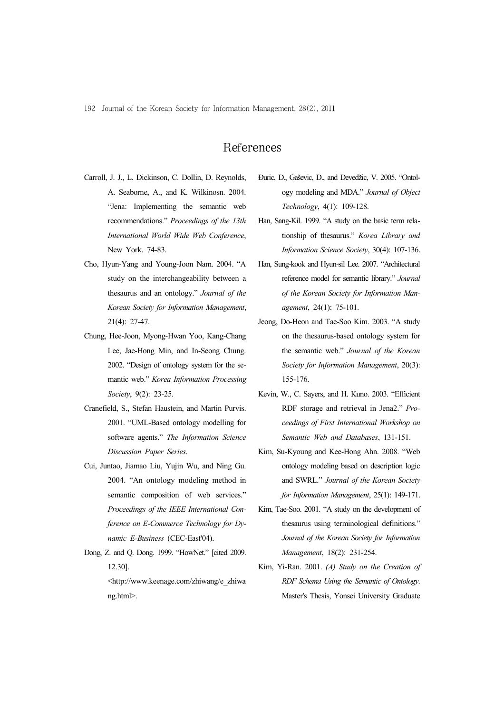# References

- Carroll, J. J., L. Dickinson, C. Dollin, D. Reynolds, A. Seaborne, A., and K. Wilkinosn. 2004. "Jena: Implementing the semantic web recommendations." *Proceedings of the 13th International World Wide Web Conference*, New York. 74-83.
- Cho, Hyun-Yang and Young-Joon Nam. 2004. "A study on the interchangeability between a thesaurus and an ontology." *Journal of the Korean Society for Information Management*, 21(4): 27-47.
- Chung, Hee-Joon, Myong-Hwan Yoo, Kang-Chang Lee, Jae-Hong Min, and In-Seong Chung. 2002. "Design of ontology system for the semantic web." *Korea Information Processing Society*, 9(2): 23-25.
- Cranefield, S., Stefan Haustein, and Martin Purvis. 2001. "UML-Based ontology modelling for software agents." *The Information Science Discussion Paper Series*.
- Cui, Juntao, Jiamao Liu, Yujin Wu, and Ning Gu. 2004. "An ontology modeling method in semantic composition of web services." *Proceedings of the IEEE International Conference on E-Commerce Technology for Dynamic E-Business* (CEC-East'04).
- Dong, Z. and Q. Dong. 1999. "HowNet." [cited 2009. 12.30].

<http://www.keenage.com/zhiwang/e\_zhiwa ng.html>.

- Ðuric, D., Gaševic, D., and Devedžic, V. 2005. "Ontology modeling and MDA." *Journal of Object Technology*, 4(1): 109-128.
- Han, Sang-Kil. 1999. "A study on the basic term relationship of thesaurus." *Korea Library and Information Science Society*, 30(4): 107-136.
- Han, Sung-kook and Hyun-sil Lee. 2007. "Architectural reference model for semantic library." *Journal of the Korean Society for Information Management*, 24(1): 75-101.
- Jeong, Do-Heon and Tae-Soo Kim. 2003. "A study on the thesaurus-based ontology system for the semantic web." *Journal of the Korean Society for Information Management*, 20(3): 155-176.
- Kevin, W., C. Sayers, and H. Kuno. 2003. "Efficient RDF storage and retrieval in Jena2." *Proceedings of First International Workshop on Semantic Web and Databases*, 131-151.
- Kim, Su-Kyoung and Kee-Hong Ahn. 2008. "Web ontology modeling based on description logic and SWRL." *Journal of the Korean Society for Information Management*, 25(1): 149-171.
- Kim, Tae-Soo. 2001. "A study on the development of thesaurus using terminological definitions." *Journal of the Korean Society for Information Management*, 18(2): 231-254.
- Kim, Yi-Ran. 2001. *(A) Study on the Creation of RDF Schema Using the Semantic of Ontology*. Master's Thesis, Yonsei University Graduate